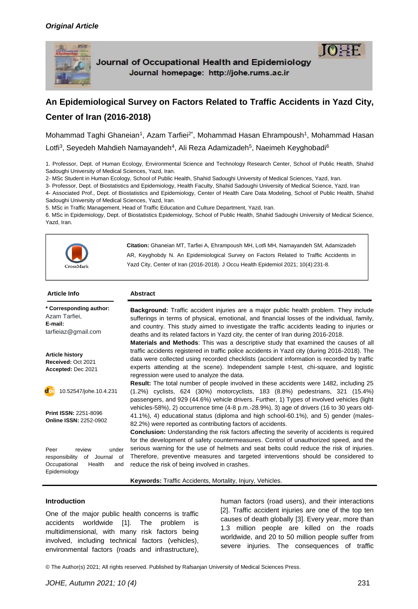

Journal of Occupational Health and Epidemiology Journal homepage: http://johe.rums.ac.ir

# **An Epidemiological Survey on Factors Related to Traffic Accidents in Yazd City, Center of Iran (2016-2018)**

Mohammad Taghi Ghaneian<sup>1</sup>, Azam Tarfiei<sup>2\*</sup>, Mohammad Hasan Ehrampoush<sup>1</sup>, Mohammad Hasan Lotfi<sup>3</sup>, Seyedeh Mahdieh Namayandeh<sup>4</sup>, Ali Reza Adamizadeh<sup>5</sup>, Naeimeh Keyghobadi<sup>6</sup>

1. Professor, Dept. of Human Ecology, Environmental Science and Technology Research Center, School of Public Health, Shahid Sadoughi University of Medical Sciences, Yazd, Iran.

2- MSc Student in Human Ecology, School of Public Health, Shahid Sadoughi University of Medical Sciences, Yazd, Iran.

3- Professor, Dept. of Biostatistics and Epidemiology, Health Faculty, Shahid Sadoughi University of Medical Science, Yazd, Iran 4- Associated Prof., Dept. of Biostatistics and Epidemiology, Center of Health Care Data Modeling, School of Public Health, Shahid

Sadoughi University of Medical Sciences, Yazd, Iran. 5. MSc in Traffic Management, Head of Traffic Education and Culture Department, Yazd, Iran.

6. MSc in Epidemiology, Dept. of Biostatistics Epidemiology, School of Public Health, Shahid Sadoughi University of Medical Science, Yazd, Iran.



**Citation:** Ghaneian MT, Tarfiei A, Ehrampoush MH, Lotfi MH, Namayandeh SM, Adamizadeh AR, Keyghobdy N. An Epidemiological Survey on Factors Related to Traffic Accidents in Yazd City, Center of Iran (2016-2018). J Occu Health Epidemiol 2021; 10(4):231-8.

#### **Article Info Abstract Background:** Traffic accident injuries are a major public health problem. They include sufferings in terms of physical, emotional, and financial losses of the individual, family, and country. This study aimed to investigate the traffic accidents leading to injuries or deaths and its related factors in Yazd city, the center of Iran during 2016-2018. **Materials and Methods**: This was a descriptive study that examined the causes of all traffic accidents registered in traffic police accidents in Yazd city (during 2016-2018). The data were collected using recorded checklists (accident information is recorded by traffic experts attending at the scene). Independent sample t-test, chi-square, and logistic regression were used to analyze the data. **Result:** The total number of people involved in these accidents were 1482, including 25 (1.2%) cyclists, 624 (30%) motorcyclists, 183 (8.8%) pedestrians, 321 (15.4%) passengers, and 929 (44.6%) vehicle drivers. Further, 1) Types of involved vehicles (light vehicles-58%), 2) occurrence time (4-8 p.m.-28.9%), 3) age of drivers (16 to 30 years old-41.1%), 4) educational status (diploma and high school-60.1%), and 5) gender (males-82.2%) were reported as contributing factors of accidents. **Conclusion:** Understanding the risk factors affecting the severity of accidents is required for the development of safety countermeasures. Control of unauthorized speed, and the serious warning for the use of helmets and seat belts could reduce the risk of injuries. Therefore, preventive measures and targeted interventions should be considered to reduce the risk of being involved in crashes. **\* Corresponding author:** [Azam Tarfiei,](https://pubmed.ncbi.nlm.nih.gov/?term=Sanei-Dehkordi+A&cauthor_id=34430724) **E-mail:** tarfieiaz@gmail.com **Article history Received:** Oct 2021 **Accepted:** Dec 2021 **Print ISSN:** 2251-8096 **Online ISSN:** 2252-0902 Peer review under responsibility of Journal of Occupational Health and Epidemiology 10.52547/johe.10.4.231

**Keywords:** Traffic Accidents, Mortality, Injury, Vehicles.

#### **Introduction**

One of the major public health concerns is traffic accidents worldwide [1]. The problem is multidimensional, with many risk factors being involved, including technical factors (vehicles), environmental factors (roads and infrastructure), human factors (road users), and their interactions [2]. Traffic accident injuries are one of the top ten causes of death globally [3]. Every year, more than 1.3 million people are killed on the roads worldwide, and 20 to 50 million people suffer from severe injuries. The consequences of traffic

© The Author(s) 2021; All rights reserved. Published by Rafsanjan University of Medical Sciences Press.

 $10 \pm F$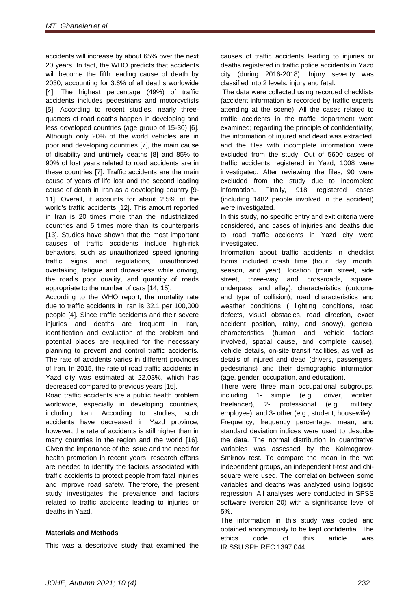accidents will increase by about 65% over the next 20 years. In fact, the WHO predicts that accidents will become the fifth leading cause of death by 2030, accounting for 3.6% of all deaths worldwide [4]. The highest percentage (49%) of traffic accidents includes pedestrians and motorcyclists [5]. According to recent studies, nearly threequarters of road deaths happen in developing and less developed countries (age group of 15-30) [6]. Although only 20% of the world vehicles are in poor and developing countries [7], the main cause of disability and untimely deaths [8] and 85% to 90% of lost years related to road accidents are in these countries [7]. Traffic accidents are the main cause of years of life lost and the second leading cause of death in Iran as a developing country [9- 11]. Overall, it accounts for about 2.5% of the world's traffic accidents [12]. This amount reported in Iran is 20 times more than the industrialized countries and 5 times more than its counterparts [13]. Studies have shown that the most important causes of traffic accidents include high-risk behaviors, such as unauthorized speed ignoring traffic signs and regulations, unauthorized overtaking, fatigue and drowsiness while driving, the road's poor quality, and quantity of roads appropriate to the number of cars [14, 15].

According to the WHO report, the mortality rate due to traffic accidents in Iran is 32.1 per 100,000 people [4]. Since traffic accidents and their severe injuries and deaths are frequent in Iran, identification and evaluation of the problem and potential places are required for the necessary planning to prevent and control traffic accidents. The rate of accidents varies in different provinces of Iran. In 2015, the rate of road traffic accidents in Yazd city was estimated at 22.03%, which has decreased compared to previous years [16].

Road traffic accidents are a public health problem worldwide, especially in developing countries, including Iran. According to studies, such accidents have decreased in Yazd province; however, the rate of accidents is still higher than in many countries in the region and the world [16]. Given the importance of the issue and the need for health promotion in recent years, research efforts are needed to identify the factors associated with traffic accidents to protect people from fatal injuries and improve road safety. Therefore, the present study investigates the prevalence and factors related to traffic accidents leading to injuries or deaths in Yazd.

## **Materials and Methods**

This was a descriptive study that examined the

causes of traffic accidents leading to injuries or deaths registered in traffic police accidents in Yazd city (during 2016-2018). Injury severity was classified into 2 levels: injury and fatal.

The data were collected using recorded checklists (accident information is recorded by traffic experts attending at the scene). All the cases related to traffic accidents in the traffic department were examined; regarding the principle of confidentiality, the information of injured and dead was extracted, and the files with incomplete information were excluded from the study. Out of 5600 cases of traffic accidents registered in Yazd, 1008 were investigated. After reviewing the files, 90 were excluded from the study due to incomplete information. Finally, 918 registered cases (including 1482 people involved in the accident) were investigated.

In this study, no specific entry and exit criteria were considered, and cases of injuries and deaths due to road traffic accidents in Yazd city were investigated.

Information about traffic accidents in checklist forms included crash time (hour, day, month, season, and year), location (main street, side street, three-way and crossroads, square, underpass, and alley), characteristics (outcome and type of collision), road characteristics and weather conditions ( lighting conditions, road defects, visual obstacles, road direction, exact accident position, rainy, and snowy), general characteristics (human and vehicle factors involved, spatial cause, and complete cause), vehicle details, on-site transit facilities, as well as details of injured and dead (drivers, passengers, pedestrians) and their demographic information (age, gender, occupation, and education).

There were three main occupational subgroups, including 1- simple (e.g., driver, worker, freelancer), 2- professional (e.g., military, employee), and 3- other (e.g., student, housewife). Frequency, frequency percentage, mean, and standard deviation indices were used to describe the data. The normal distribution in quantitative variables was assessed by the Kolmogorov-Smirnov test. To compare the mean in the two independent groups, an independent t-test and chisquare were used. The correlation between some variables and deaths was analyzed using logistic regression. All analyses were conducted in SPSS software (version 20) with a significance level of 5%.

The information in this study was coded and obtained anonymously to be kept confidential. The ethics code of this article was IR.SSU.SPH.REC.1397.044.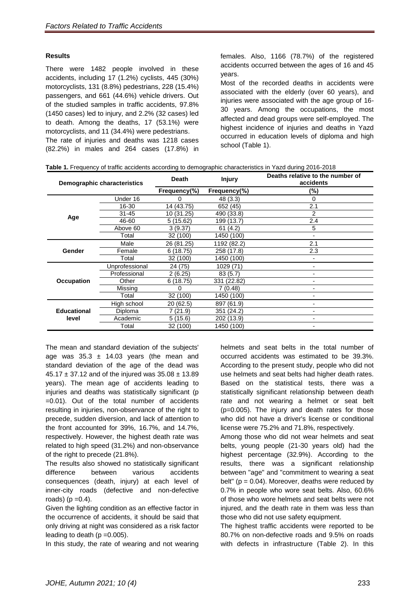#### **Results**

There were 1482 people involved in these accidents, including 17 (1.2%) cyclists, 445 (30%) motorcyclists, 131 (8.8%) pedestrians, 228 (15.4%) passengers, and 661 (44.6%) vehicle drivers. Out of the studied samples in traffic accidents, 97.8% (1450 cases) led to injury, and 2.2% (32 cases) led to death. Among the deaths, 17 (53.1%) were motorcyclists, and 11 (34.4%) were pedestrians.

The rate of injuries and deaths was 1218 cases (82.2%) in males and 264 cases (17.8%) in females. Also, 1166 (78.7%) of the registered accidents occurred between the ages of 16 and 45 years.

Most of the recorded deaths in accidents were associated with the elderly (over 60 years), and injuries were associated with the age group of 16- 30 years. Among the occupations, the most affected and dead groups were self-employed. The highest incidence of injuries and deaths in Yazd occurred in education levels of diploma and high school (Table 1).

|                    | <b>Demographic characteristics</b> |              | <b>Injury</b> | Deaths relative to the number of<br>accidents |
|--------------------|------------------------------------|--------------|---------------|-----------------------------------------------|
|                    |                                    | Frequency(%) | Frequency(%)  | (%)                                           |
|                    | Under 16                           | 0            | 48 (3.3)      | 0                                             |
|                    | 16-30                              | 14 (43.75)   | 652 (45)      | 2.1                                           |
|                    | $31 - 45$                          | 10 (31.25)   | 490 (33.8)    | 2                                             |
| Age                | 46-60                              | 5(15.62)     | 199 (13.7)    | 2.4                                           |
|                    | Above 60                           | 3(9.37)      | 61(4.2)       | 5                                             |
|                    | Total                              | 32 (100)     | 1450 (100)    |                                               |
|                    | Male                               | 26 (81.25)   | 1192 (82.2)   | 2.1                                           |
| Gender             | Female                             | 6(18.75)     | 258 (17.8)    | 2.3                                           |
|                    | Total                              | 32 (100)     | 1450 (100)    |                                               |
|                    | Unprofessional                     | 24 (75)      | 1029 (71)     | ٠                                             |
|                    | Professional                       | 2(6.25)      | 83(5.7)       |                                               |
| <b>Occupation</b>  | Other                              | 6(18.75)     | 331 (22.82)   |                                               |
|                    | Missing                            | 0            | 7(0.48)       | ۰                                             |
|                    | Total                              | 32 (100)     | 1450 (100)    |                                               |
|                    | High school                        | 20 (62.5)    | 897 (61.9)    |                                               |
| <b>Educational</b> | Diploma                            | 7(21.9)      | 351 (24.2)    |                                               |
| level              | Academic                           | 5(15.6)      | 202 (13.9)    |                                               |
|                    | Total                              | 32 (100)     | 1450 (100)    |                                               |

The mean and standard deviation of the subjects' age was  $35.3 \pm 14.03$  years (the mean and standard deviation of the age of the dead was  $45.17 \pm 37.12$  and of the injured was  $35.08 \pm 13.89$ years). The mean age of accidents leading to injuries and deaths was statistically significant (p =0.01). Out of the total number of accidents resulting in injuries, non-observance of the right to precede, sudden diversion, and lack of attention to the front accounted for 39%, 16.7%, and 14.7%, respectively. However, the highest death rate was related to high speed (31.2%) and non-observance of the right to precede (21.8%).

The results also showed no statistically significant difference between various accidents consequences (death, injury) at each level of inner-city roads (defective and non-defective roads) ( $p = 0.4$ ).

Given the lighting condition as an effective factor in the occurrence of accidents, it should be said that only driving at night was considered as a risk factor leading to death ( $p = 0.005$ ).

In this study, the rate of wearing and not wearing

helmets and seat belts in the total number of occurred accidents was estimated to be 39.3%. According to the present study, people who did not use helmets and seat belts had higher death rates. Based on the statistical tests, there was a statistically significant relationship between death rate and not wearing a helmet or seat belt (p=0.005). The injury and death rates for those who did not have a driver's license or conditional license were 75.2% and 71.8%, respectively.

Among those who did not wear helmets and seat belts, young people (21-30 years old) had the highest percentage (32.9%). According to the results, there was a significant relationship between "age" and "commitment to wearing a seat belt" ( $p = 0.04$ ). Moreover, deaths were reduced by 0.7% in people who wore seat belts. Also, 60.6% of those who wore helmets and seat belts were not injured, and the death rate in them was less than those who did not use safety equipment.

The highest traffic accidents were reported to be 80.7% on non-defective roads and 9.5% on roads with defects in infrastructure (Table 2). In this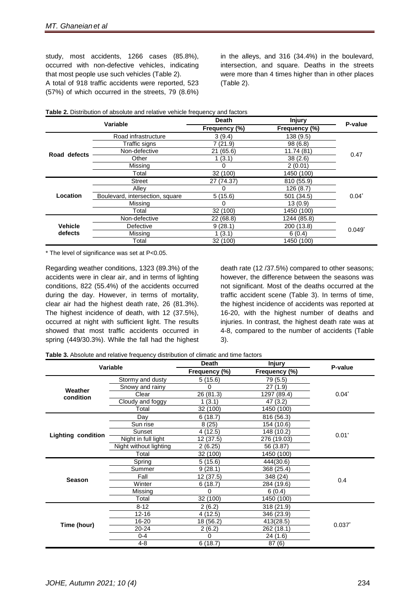study, most accidents, 1266 cases (85.8%), occurred with non-defective vehicles, indicating that most people use such vehicles (Table 2). A total of 918 traffic accidents were reported, 523 (57%) of which occurred in the streets, 79 (8.6%) in the alleys, and 316 (34.4%) in the boulevard, intersection, and square. Deaths in the streets were more than 4 times higher than in other places (Table 2).

|                |                                 | Death         | <b>Injury</b> |          |
|----------------|---------------------------------|---------------|---------------|----------|
|                | Variable                        | Frequency (%) | Frequency (%) | P-value  |
|                | Road infrastructure             | 3(9.4)        | 138 (9.5)     |          |
|                | Traffic signs                   | 7(21.9)       | 98(6.8)       |          |
|                | Non-defective                   | 21(65.6)      | 11.74(81)     |          |
| Road defects   | Other                           | 1(3.1)        | 38(2.6)       | 0.47     |
|                | Missing                         | 0             | 2(0.01)       |          |
|                | Total                           | 32 (100)      | 1450 (100)    |          |
|                | Street                          | 27 (74.37)    | 810 (55.9)    |          |
|                | Alley                           | 0             | 126(8.7)      |          |
| Location       | Boulevard, intersection, square | 5(15.6)       | 501 (34.5)    | $0.04^*$ |
|                | Missing                         | O             | 13(0.9)       |          |
|                | Total                           | 32 (100)      | 1450 (100)    |          |
|                | Non-defective                   | 22(68.8)      | 1244 (85.8)   |          |
| <b>Vehicle</b> | Defective                       | 9(28.1)       | 200 (13.8)    |          |
| defects        | Missing                         | 1(3.1)        | 6(0.4)        | $0.049*$ |
|                | Total                           | 32 (100)      | 1450 (100)    |          |

**Table 2.** Distribution of absolute and relative vehicle frequency and factors

\* The level of significance was set at P<0.05.

Regarding weather conditions, 1323 (89.3%) of the accidents were in clear air, and in terms of lighting conditions, 822 (55.4%) of the accidents occurred during the day. However, in terms of mortality, clear air had the highest death rate, 26 (81.3%). The highest incidence of death, with 12 (37.5%), occurred at night with sufficient light. The results showed that most traffic accidents occurred in spring (449/30.3%). While the fall had the highest death rate (12 /37.5%) compared to other seasons; however, the difference between the seasons was not significant. Most of the deaths occurred at the traffic accident scene (Table 3). In terms of time, the highest incidence of accidents was reported at 16-20, with the highest number of deaths and injuries. In contrast, the highest death rate was at 4-8, compared to the number of accidents (Table 3).

| Variable                  |                        | <b>Death</b>  | <b>Injury</b> |           |
|---------------------------|------------------------|---------------|---------------|-----------|
|                           |                        | Frequency (%) | Frequency (%) | P-value   |
| Weather<br>condition      | Stormy and dusty       | 5(15.6)       | 79 (5.5)      |           |
|                           | Snowy and rainy        | 0             | 27(1.9)       |           |
|                           | Clear                  | 26 (81.3)     | 1297 (89.4)   | $0.04*$   |
|                           | Cloudy and foggy       | (3.1)<br>1    | 47 (3.2)      |           |
|                           | Total                  | 32 (100)      | 1450 (100)    |           |
|                           | Day                    | 6(18.7)       | 816 (56.3)    |           |
|                           | Sun rise               | 8(25)         | 154 (10.6)    |           |
| <b>Lighting condition</b> | Sunset                 | 4(12.5)       | 148 (10.2)    | $0.01*$   |
|                           | Night in full light    | 12 (37.5)     | 276 (19.03)   |           |
|                           | Night without lighting | 2(6.25)       | 56 (3.87)     |           |
|                           | Total                  | 32 (100)      | 1450 (100)    |           |
|                           | Spring                 | 5(15.6)       | 444(30.6)     |           |
|                           | Summer                 | 9(28.1)       | 368 (25.4)    |           |
| <b>Season</b>             | Fall                   | 12 (37.5)     | 348 (24)      |           |
|                           | Winter                 | 6(18.7)       | 284 (19.6)    | 0.4       |
|                           | Missing                | 0             | 6(0.4)        |           |
|                           | Total                  | 32 (100)      | 1450 (100)    |           |
|                           | $8 - 12$               | 2(6.2)        | 318 (21.9)    |           |
|                           | $12 - 16$              | 4(12.5)       | 346 (23.9)    |           |
|                           | 16-20                  | 18 (56.2)     | 413(28.5)     | $0.037$ * |
| Time (hour)               | $20 - 24$              | 2(6.2)        | 262 (18.1)    |           |
|                           | $0 - 4$                | $\Omega$      | 24 (1.6)      |           |
|                           | $4 - 8$                | 6(18.7)       | 87(6)         |           |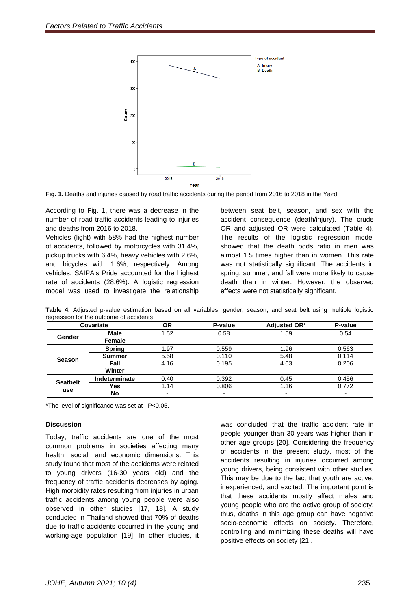

**Fig. 1.** Deaths and injuries caused by road traffic accidents during the period from 2016 to 2018 in the Yazd

According to Fig. 1, there was a decrease in the number of road traffic accidents leading to injuries and deaths from 2016 to 2018.

Vehicles (light) with 58% had the highest number of accidents, followed by motorcycles with 31.4%, pickup trucks with 6.4%, heavy vehicles with 2.6%, and bicycles with 1.6%, respectively. Among vehicles, SAIPA's Pride accounted for the highest rate of accidents (28.6%). A logistic regression model was used to investigate the relationship

between seat belt, season, and sex with the accident consequence (death/injury). The crude OR and adjusted OR were calculated (Table 4). The results of the logistic regression model showed that the death odds ratio in men was almost 1.5 times higher than in women. This rate was not statistically significant. The accidents in spring, summer, and fall were more likely to cause death than in winter. However, the observed effects were not statistically significant.

|                        | Covariate     | <b>OR</b> | P-value | Adjusted OR* | P-value |
|------------------------|---------------|-----------|---------|--------------|---------|
| Gender                 | Male          | 1.52      | 0.58    | 1.59         | 0.54    |
|                        | <b>Female</b> |           | -       |              |         |
| <b>Season</b>          | <b>Spring</b> | 1.97      | 0.559   | 1.96         | 0.563   |
|                        | <b>Summer</b> | 5.58      | 0.110   | 5.48         | 0.114   |
|                        | Fall          | 4.16      | 0.195   | 4.03         | 0.206   |
|                        | Winter        |           | -       |              |         |
| <b>Seatbelt</b><br>use | Indeterminate | 0.40      | 0.392   | 0.45         | 0.456   |
|                        | Yes           | 1.14      | 0.806   | 1.16         | 0.772   |
|                        | No            |           | -       | ۰            |         |

**Table 4.** Adjusted p-value estimation based on all variables, gender, season, and seat belt using multiple logistic regression for the outcome of accidents

\*The level of significance was set at P<0.05.

#### **Discussion**

Today, traffic accidents are one of the most common problems in societies affecting many health, social, and economic dimensions. This study found that most of the accidents were related to young drivers (16-30 years old) and the frequency of traffic accidents decreases by aging. High morbidity rates resulting from injuries in urban traffic accidents among young people were also observed in other studies [17, 18]. A study conducted in Thailand showed that 70% of deaths due to traffic accidents occurred in the young and working-age population [19]. In other studies, it was concluded that the traffic accident rate in people younger than 30 years was higher than in other age groups [20]. Considering the frequency of accidents in the present study, most of the accidents resulting in injuries occurred among young drivers, being consistent with other studies. This may be due to the fact that youth are active, inexperienced, and excited. The important point is that these accidents mostly affect males and young people who are the active group of society; thus, deaths in this age group can have negative socio-economic effects on society. Therefore, controlling and minimizing these deaths will have positive effects on society [21].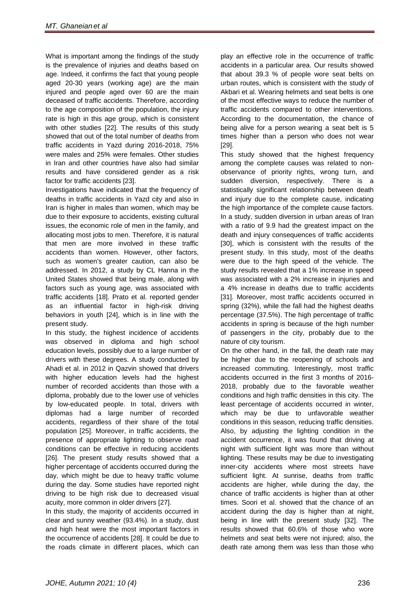What is important among the findings of the study is the prevalence of injuries and deaths based on age. Indeed, it confirms the fact that young people aged 20-30 years (working age) are the main injured and people aged over 60 are the main deceased of traffic accidents. Therefore, according to the age composition of the population, the injury rate is high in this age group, which is consistent with other studies [22]. The results of this study showed that out of the total number of deaths from traffic accidents in Yazd during 2016-2018, 75% were males and 25% were females. Other studies in Iran and other countries have also had similar results and have considered gender as a risk factor for traffic accidents [23].

Investigations have indicated that the frequency of deaths in traffic accidents in Yazd city and also in Iran is higher in males than women, which may be due to their exposure to accidents, existing cultural issues, the economic role of men in the family, and allocating most jobs to men. Therefore, it is natural that men are more involved in these traffic accidents than women. However, other factors, such as women's greater caution, can also be addressed. In 2012, a study by CL Hanna in the United States showed that being male, along with factors such as young age, was associated with traffic accidents [18]. Prato et al. reported gender an influential factor in high-risk driving behaviors in youth [24], which is in line with the present study.

In this study, the highest incidence of accidents was observed in diploma and high school education levels, possibly due to a large number of drivers with these degrees. A study conducted by Ahadi et al. in 2012 in Qazvin showed that drivers with higher education levels had the highest number of recorded accidents than those with a diploma, probably due to the lower use of vehicles by low-educated people. In total, drivers with diplomas had a large number of recorded accidents, regardless of their share of the total population [25]. Moreover, in traffic accidents, the presence of appropriate lighting to observe road conditions can be effective in reducing accidents [26]. The present study results showed that a higher percentage of accidents occurred during the day, which might be due to heavy traffic volume during the day. Some studies have reported night driving to be high risk due to decreased visual acuity, more common in older drivers [27].

In this study, the majority of accidents occurred in clear and sunny weather (93.4%). In a study, dust and high heat were the most important factors in the occurrence of accidents [28]. It could be due to the roads climate in different places, which can

play an effective role in the occurrence of traffic accidents in a particular area. Our results showed that about 39.3 % of people wore seat belts on urban routes, which is consistent with the study of Akbari et al. Wearing helmets and seat belts is one of the most effective ways to reduce the number of traffic accidents compared to other interventions. According to the documentation, the chance of being alive for a person wearing a seat belt is 5 times higher than a person who does not wear [29].

This study showed that the highest frequency among the complete causes was related to nonobservance of priority rights, wrong turn, and sudden diversion, respectively. There is a statistically significant relationship between death and injury due to the complete cause, indicating the high importance of the complete cause factors. In a study, sudden diversion in urban areas of Iran with a ratio of 9.9 had the greatest impact on the death and injury consequences of traffic accidents [30], which is consistent with the results of the present study. In this study, most of the deaths were due to the high speed of the vehicle. The study results revealed that a 1% increase in speed was associated with a 2% increase in injuries and a 4% increase in deaths due to traffic accidents [31]. Moreover, most traffic accidents occurred in spring (32%), while the fall had the highest deaths percentage (37.5%). The high percentage of traffic accidents in spring is because of the high number of passengers in the city, probably due to the nature of city tourism.

On the other hand, in the fall, the death rate may be higher due to the reopening of schools and increased commuting. Interestingly, most traffic accidents occurred in the first 3 months of 2016- 2018, probably due to the favorable weather conditions and high traffic densities in this city. The least percentage of accidents occurred in winter, which may be due to unfavorable weather conditions in this season, reducing traffic densities. Also, by adjusting the lighting condition in the accident occurrence, it was found that driving at night with sufficient light was more than without lighting. These results may be due to investigating inner-city accidents where most streets have sufficient light. At sunrise, deaths from traffic accidents are higher, while during the day, the chance of traffic accidents is higher than at other times. Soori et al. showed that the chance of an accident during the day is higher than at night, being in line with the present study [32]. The results showed that 60.6% of those who wore helmets and seat belts were not injured; also, the death rate among them was less than those who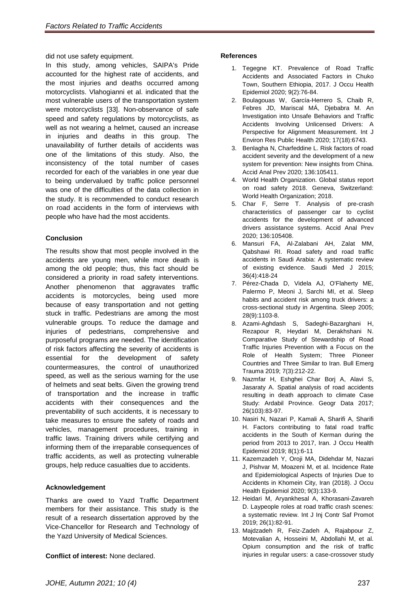did not use safety equipment.

In this study, among vehicles, SAIPA's Pride accounted for the highest rate of accidents, and the most injuries and deaths occurred among motorcyclists. Vlahogianni et al. indicated that the most vulnerable users of the transportation system were motorcyclists [33]. Non-observance of safe speed and safety regulations by motorcyclists, as well as not wearing a helmet, caused an increase in injuries and deaths in this group. The unavailability of further details of accidents was one of the limitations of this study. Also, the inconsistency of the total number of cases recorded for each of the variables in one year due to being undervalued by traffic police personnel was one of the difficulties of the data collection in the study. It is recommended to conduct research on road accidents in the form of interviews with people who have had the most accidents.

### **Conclusion**

The results show that most people involved in the accidents are young men, while more death is among the old people; thus, this fact should be considered a priority in road safety interventions. Another phenomenon that aggravates traffic accidents is motorcycles, being used more because of easy transportation and not getting stuck in traffic. Pedestrians are among the most vulnerable groups. To reduce the damage and injuries of pedestrians, comprehensive and purposeful programs are needed. The identification of risk factors affecting the severity of accidents is essential for the development of safety countermeasures, the control of unauthorized speed, as well as the serious warning for the use of helmets and seat belts. Given the growing trend of transportation and the increase in traffic accidents with their consequences and the preventability of such accidents, it is necessary to take measures to ensure the safety of roads and vehicles, management procedures, training in traffic laws. Training drivers while certifying and informing them of the irreparable consequences of traffic accidents, as well as protecting vulnerable groups, help reduce casualties due to accidents.

#### **Acknowledgement**

Thanks are owed to Yazd Traffic Department members for their assistance. This study is the result of a research dissertation approved by the Vice-Chancellor for Research and Technology of the Yazd University of Medical Sciences.

**Conflict of interest:** None declared.

#### **References**

- 1. Tegegne KT. Prevalence of Road Traffic Accidents and Associated Factors in Chuko Town, Southern Ethiopia, 2017. J Occu Health Epidemiol 2020; 9(2):76-84.
- 2. Boulagouas W, García-Herrero S, Chaib R, Febres JD, Mariscal MÁ, Djebabra M. An Investigation into Unsafe Behaviors and Traffic Accidents Involving Unlicensed Drivers: A Perspective for Alignment Measurement. Int J Environ Res Public Health 2020; 17(18):6743.
- 3. Benlagha N, Charfeddine L. Risk factors of road accident severity and the development of a new system for prevention: New insights from China. Accid Anal Prev 2020; 136:105411.
- 4. World Health Organization. Global status report on road safety 2018. Geneva, Switzerland: World Health Organization; 2018.
- 5. Char F, Serre T. Analysis of pre-crash characteristics of passenger car to cyclist accidents for the development of advanced drivers assistance systems. Accid Anal Prev 2020; 136:105408.
- 6. Mansuri FA, Al-Zalabani AH, Zalat MM, Qabshawi RI. Road safety and road traffic accidents in Saudi Arabia: A systematic review of existing evidence. Saudi Med J 2015; 36(4):418-24
- 7. Pérez-Chada D, Videla AJ, O'Flaherty ME, Palermo P, Meoni J, Sarchi MI, et al. Sleep habits and accident risk among truck drivers: a cross-sectional study in Argentina. Sleep 2005; 28(9):1103-8.
- 8. Azami-Aghdash S, Sadeghi-Bazarghani H, Rezapour R, Heydari M, Derakhshani N. Comparative Study of Stewardship of Road Traffic Injuries Prevention with a Focus on the Role of Health System; Three Pioneer Countries and Three Similar to Iran. Bull Emerg Trauma 2019; 7(3):212-22.
- 9. Nazmfar H, Eshghei Char Borj A, Alavi S, Jasaraty A. Spatial analysis of road accidents resulting in death approach to climate Case Study: Ardabil Province. Geogr Data 2017; 26(103):83-97.
- 10. Nasiri N, Nazari P, Kamali A, Sharifi A, Sharifi H. Factors contributing to fatal road traffic accidents in the South of Kerman during the period from 2013 to 2017, Iran. J Occu Health Epidemiol 2019; 8(1):6-11
- 11. Kazemzadeh Y, Oroji MA, Didehdar M, Nazari J, Pishvar M, Moazeni M, et al. Incidence Rate and Epidemiological Aspects of Injuries Due to Accidents in Khomein City, Iran (2018). J Occu Health Epidemiol 2020; 9(3):133-9.
- 12. Heidari M, Aryankhesal A, Khorasani-Zavareh D. Laypeople roles at road traffic crash scenes: a systematic review. Int J Inj Contr Saf Promot 2019; 26(1):82-91.
- 13. Majdzadeh R, Feiz-Zadeh A, Rajabpour Z, Motevalian A, Hosseini M, Abdollahi M, et al. Opium consumption and the risk of traffic injuries in regular users: a case-crossover study